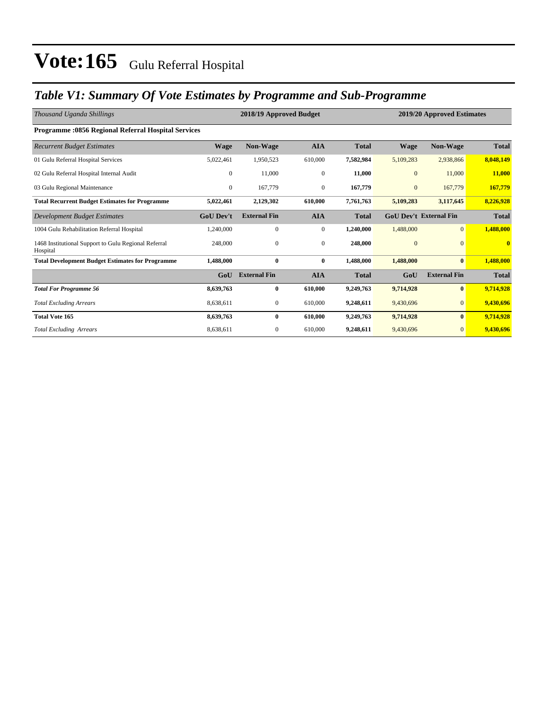### *Table V1: Summary Of Vote Estimates by Programme and Sub-Programme*

| Thousand Uganda Shillings                                        |                  | 2018/19 Approved Budget |                  | 2019/20 Approved Estimates |                |                               |              |
|------------------------------------------------------------------|------------------|-------------------------|------------------|----------------------------|----------------|-------------------------------|--------------|
| <b>Programme: 0856 Regional Referral Hospital Services</b>       |                  |                         |                  |                            |                |                               |              |
| <b>Recurrent Budget Estimates</b>                                | <b>Wage</b>      | Non-Wage                | <b>AIA</b>       | <b>Total</b>               | <b>Wage</b>    | Non-Wage                      | <b>Total</b> |
| 01 Gulu Referral Hospital Services                               | 5,022,461        | 1,950,523               | 610,000          | 7,582,984                  | 5,109,283      | 2,938,866                     | 8,048,149    |
| 02 Gulu Referral Hospital Internal Audit                         | $\theta$         | 11,000                  | $\overline{0}$   | 11,000                     | $\mathbf{0}$   | 11,000                        | 11,000       |
| 03 Gulu Regional Maintenance                                     | $\theta$         | 167,779                 | $\boldsymbol{0}$ | 167,779                    | $\mathbf{0}$   | 167,779                       | 167,779      |
| <b>Total Recurrent Budget Estimates for Programme</b>            | 5,022,461        | 2,129,302               | 610,000          | 7,761,763                  | 5,109,283      | 3,117,645                     | 8,226,928    |
| Development Budget Estimates                                     | <b>GoU Dev't</b> | <b>External Fin</b>     | <b>AIA</b>       | <b>Total</b>               |                | <b>GoU Dev't External Fin</b> | <b>Total</b> |
| 1004 Gulu Rehabilitation Referral Hospital                       | 1,240,000        | $\mathbf{0}$            | $\overline{0}$   | 1,240,000                  | 1,488,000      | $\overline{0}$                | 1,488,000    |
| 1468 Institutional Support to Gulu Regional Referral<br>Hospital | 248,000          | $\mathbf{0}$            | $\mathbf{0}$     | 248,000                    | $\overline{0}$ | $\Omega$                      | $\mathbf{0}$ |
| <b>Total Development Budget Estimates for Programme</b>          | 1,488,000        | $\bf{0}$                | $\bf{0}$         | 1,488,000                  | 1,488,000      | $\bf{0}$                      | 1,488,000    |
|                                                                  | GoU              | <b>External Fin</b>     | <b>AIA</b>       | <b>Total</b>               | GoU            | <b>External Fin</b>           | <b>Total</b> |
| <b>Total For Programme 56</b>                                    | 8,639,763        | $\bf{0}$                | 610,000          | 9,249,763                  | 9,714,928      | $\mathbf{0}$                  | 9,714,928    |
| <b>Total Excluding Arrears</b>                                   | 8,638,611        | $\mathbf{0}$            | 610,000          | 9,248,611                  | 9,430,696      | $\Omega$                      | 9,430,696    |
| <b>Total Vote 165</b>                                            | 8,639,763        | $\bf{0}$                | 610.000          | 9,249,763                  | 9,714,928      | $\bf{0}$                      | 9,714,928    |
| <b>Total Excluding Arrears</b>                                   | 8,638,611        | $\mathbf{0}$            | 610,000          | 9,248,611                  | 9,430,696      | $\mathbf{0}$                  | 9,430,696    |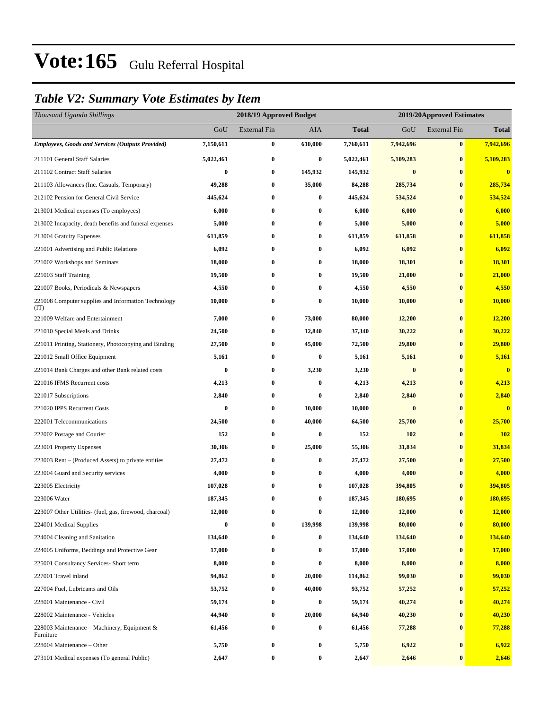### *Table V2: Summary Vote Estimates by Item*

| Thousand Uganda Shillings                                   |           | 2018/19 Approved Budget |          |           |           | 2019/20Approved Estimates |                         |
|-------------------------------------------------------------|-----------|-------------------------|----------|-----------|-----------|---------------------------|-------------------------|
|                                                             | GoU       | <b>External Fin</b>     | AIA      | Total     | GoU       | <b>External Fin</b>       | <b>Total</b>            |
| <b>Employees, Goods and Services (Outputs Provided)</b>     | 7,150,611 | $\bf{0}$                | 610,000  | 7,760,611 | 7,942,696 | $\bf{0}$                  | 7,942,696               |
| 211101 General Staff Salaries                               | 5,022,461 | $\bf{0}$                | $\bf{0}$ | 5,022,461 | 5,109,283 | $\bf{0}$                  | 5,109,283               |
| 211102 Contract Staff Salaries                              | 0         | $\bf{0}$                | 145,932  | 145,932   | $\bf{0}$  | $\bf{0}$                  | $\bf{0}$                |
| 211103 Allowances (Inc. Casuals, Temporary)                 | 49,288    | $\boldsymbol{0}$        | 35,000   | 84,288    | 285,734   | $\bf{0}$                  | 285,734                 |
| 212102 Pension for General Civil Service                    | 445,624   | $\bf{0}$                | $\bf{0}$ | 445,624   | 534,524   | $\bf{0}$                  | 534,524                 |
| 213001 Medical expenses (To employees)                      | 6,000     | $\bf{0}$                | $\bf{0}$ | 6,000     | 6,000     | $\bf{0}$                  | 6,000                   |
| 213002 Incapacity, death benefits and funeral expenses      | 5,000     | $\bf{0}$                | $\bf{0}$ | 5,000     | 5,000     | $\bf{0}$                  | 5,000                   |
| 213004 Gratuity Expenses                                    | 611,859   | 0                       | $\bf{0}$ | 611,859   | 611,858   | $\bf{0}$                  | 611,858                 |
| 221001 Advertising and Public Relations                     | 6,092     | $\bf{0}$                | $\bf{0}$ | 6,092     | 6,092     | $\bf{0}$                  | 6,092                   |
| 221002 Workshops and Seminars                               | 18,000    | $\bf{0}$                | $\bf{0}$ | 18,000    | 18,301    | $\bf{0}$                  | 18,301                  |
| 221003 Staff Training                                       | 19,500    | 0                       | $\bf{0}$ | 19,500    | 21,000    | $\bf{0}$                  | 21,000                  |
| 221007 Books, Periodicals & Newspapers                      | 4,550     | $\bf{0}$                | $\bf{0}$ | 4,550     | 4,550     | $\bf{0}$                  | 4,550                   |
| 221008 Computer supplies and Information Technology<br>(TT) | 10,000    | $\bf{0}$                | $\bf{0}$ | 10,000    | 10,000    | $\bf{0}$                  | 10,000                  |
| 221009 Welfare and Entertainment                            | 7,000     | $\bf{0}$                | 73,000   | 80,000    | 12,200    | $\bf{0}$                  | 12,200                  |
| 221010 Special Meals and Drinks                             | 24,500    | $\bf{0}$                | 12,840   | 37,340    | 30,222    | $\bf{0}$                  | 30,222                  |
| 221011 Printing, Stationery, Photocopying and Binding       | 27,500    | $\bf{0}$                | 45,000   | 72,500    | 29,800    | $\bf{0}$                  | 29,800                  |
| 221012 Small Office Equipment                               | 5,161     | $\bf{0}$                | $\bf{0}$ | 5,161     | 5,161     | $\bf{0}$                  | 5,161                   |
| 221014 Bank Charges and other Bank related costs            | $\bf{0}$  | $\bf{0}$                | 3,230    | 3,230     | $\bf{0}$  | $\bf{0}$                  | $\overline{\mathbf{0}}$ |
| 221016 IFMS Recurrent costs                                 | 4,213     | $\bf{0}$                | $\bf{0}$ | 4,213     | 4,213     | $\bf{0}$                  | 4,213                   |
| 221017 Subscriptions                                        | 2,840     | $\bf{0}$                | $\bf{0}$ | 2,840     | 2,840     | $\bf{0}$                  | 2,840                   |
| 221020 IPPS Recurrent Costs                                 | $\bf{0}$  | $\bf{0}$                | 10,000   | 10,000    | $\bf{0}$  | $\bf{0}$                  | $\bf{0}$                |
| 222001 Telecommunications                                   | 24,500    | $\bf{0}$                | 40,000   | 64,500    | 25,700    | $\bf{0}$                  | 25,700                  |
| 222002 Postage and Courier                                  | 152       | $\bf{0}$                | $\bf{0}$ | 152       | 102       | $\bf{0}$                  | <b>102</b>              |
| 223001 Property Expenses                                    | 30,306    | $\bf{0}$                | 25,000   | 55,306    | 31,834    | $\bf{0}$                  | 31,834                  |
| 223003 Rent – (Produced Assets) to private entities         | 27,472    | $\bf{0}$                | $\bf{0}$ | 27,472    | 27,500    | $\bf{0}$                  | 27,500                  |
| 223004 Guard and Security services                          | 4,000     | $\bf{0}$                | $\bf{0}$ | 4,000     | 4,000     | $\bf{0}$                  | 4,000                   |
| 223005 Electricity                                          | 107,028   | $\bf{0}$                | $\bf{0}$ | 107,028   | 394,805   | $\bf{0}$                  | 394,805                 |
| 223006 Water                                                | 187,345   | $\bf{0}$                | $\bf{0}$ | 187,345   | 180,695   | $\bf{0}$                  | 180,695                 |
| 223007 Other Utilities- (fuel, gas, firewood, charcoal)     | 12,000    | 0                       | $\bf{0}$ | 12,000    | 12,000    | $\bf{0}$                  | 12,000                  |
| 224001 Medical Supplies                                     | $\bf{0}$  | $\boldsymbol{0}$        | 139,998  | 139,998   | 80,000    | $\bf{0}$                  | 80,000                  |
| 224004 Cleaning and Sanitation                              | 134,640   | $\boldsymbol{0}$        | $\bf{0}$ | 134,640   | 134,640   | $\bf{0}$                  | 134,640                 |
| 224005 Uniforms, Beddings and Protective Gear               | 17,000    | $\boldsymbol{0}$        | $\bf{0}$ | 17,000    | 17,000    | $\bf{0}$                  | 17,000                  |
| 225001 Consultancy Services- Short term                     | 8,000     | $\boldsymbol{0}$        | $\bf{0}$ | 8,000     | 8,000     | $\bf{0}$                  | 8,000                   |
| 227001 Travel inland                                        | 94,862    | $\bf{0}$                | 20,000   | 114,862   | 99,030    | $\bf{0}$                  | 99,030                  |
| 227004 Fuel, Lubricants and Oils                            | 53,752    | $\boldsymbol{0}$        | 40,000   | 93,752    | 57,252    | $\bf{0}$                  | 57,252                  |
| 228001 Maintenance - Civil                                  | 59,174    | $\boldsymbol{0}$        | $\bf{0}$ | 59,174    | 40,274    | $\bf{0}$                  | 40,274                  |
| 228002 Maintenance - Vehicles                               | 44,940    | $\boldsymbol{0}$        | 20,000   | 64,940    | 40,230    | $\bf{0}$                  | 40,230                  |
| 228003 Maintenance – Machinery, Equipment $\&$<br>Furniture | 61,456    | $\boldsymbol{0}$        | $\bf{0}$ | 61,456    | 77,288    | $\bf{0}$                  | 77,288                  |
| 228004 Maintenance - Other                                  | 5,750     | $\boldsymbol{0}$        | $\bf{0}$ | 5,750     | 6,922     | $\bf{0}$                  | 6,922                   |
| 273101 Medical expenses (To general Public)                 | 2,647     | $\boldsymbol{0}$        | $\bf{0}$ | 2,647     | 2,646     | $\bf{0}$                  | 2,646                   |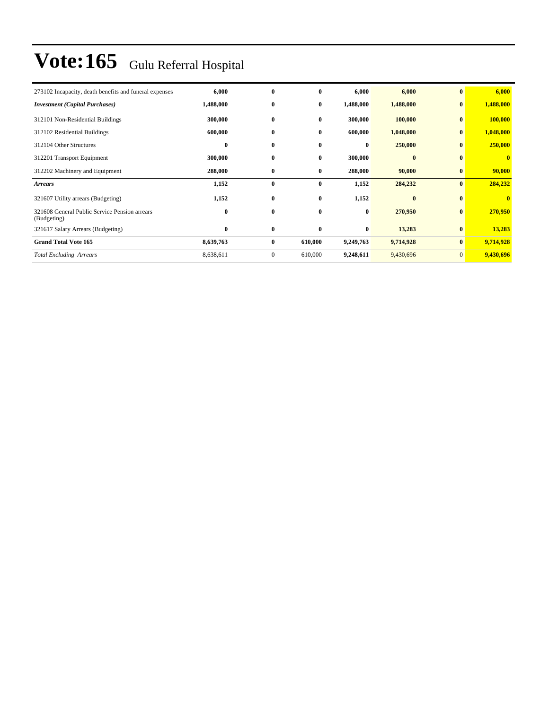| 273102 Incapacity, death benefits and funeral expenses       | 6,000     | $\bf{0}$     | $\bf{0}$     | 6,000     | 6,000     | $\mathbf{0}$ | 6,000        |
|--------------------------------------------------------------|-----------|--------------|--------------|-----------|-----------|--------------|--------------|
| <b>Investment</b> (Capital Purchases)                        | 1,488,000 | $\bf{0}$     | $\bf{0}$     | 1,488,000 | 1,488,000 | $\bf{0}$     | 1,488,000    |
| 312101 Non-Residential Buildings                             | 300,000   | $\bf{0}$     | $\bf{0}$     | 300,000   | 100,000   | $\bf{0}$     | 100,000      |
| 312102 Residential Buildings                                 | 600,000   | $\bf{0}$     | $\bf{0}$     | 600,000   | 1,048,000 | $\bf{0}$     | 1,048,000    |
| 312104 Other Structures                                      | 0         | $\bf{0}$     | $\mathbf{0}$ | $\bf{0}$  | 250,000   | $\bf{0}$     | 250,000      |
| 312201 Transport Equipment                                   | 300,000   | $\bf{0}$     | $\bf{0}$     | 300,000   | $\bf{0}$  | $\mathbf{0}$ | $\mathbf{0}$ |
| 312202 Machinery and Equipment                               | 288,000   | $\bf{0}$     | $\bf{0}$     | 288,000   | 90,000    | $\bf{0}$     | 90,000       |
| <b>Arrears</b>                                               | 1,152     | $\bf{0}$     | $\bf{0}$     | 1,152     | 284,232   | $\bf{0}$     | 284,232      |
| 321607 Utility arrears (Budgeting)                           | 1,152     | $\bf{0}$     | $\bf{0}$     | 1,152     | $\bf{0}$  | $\bf{0}$     | $\bf{0}$     |
| 321608 General Public Service Pension arrears<br>(Budgeting) | 0         | $\bf{0}$     | $\bf{0}$     | $\bf{0}$  | 270,950   | $\bf{0}$     | 270,950      |
| 321617 Salary Arrears (Budgeting)                            | 0         | $\bf{0}$     | $\bf{0}$     | $\bf{0}$  | 13,283    | $\bf{0}$     | 13,283       |
| <b>Grand Total Vote 165</b>                                  | 8,639,763 | $\bf{0}$     | 610,000      | 9,249,763 | 9,714,928 | $\mathbf{0}$ | 9,714,928    |
| <b>Total Excluding Arrears</b>                               | 8,638,611 | $\mathbf{0}$ | 610,000      | 9,248,611 | 9,430,696 | $\mathbf{0}$ | 9,430,696    |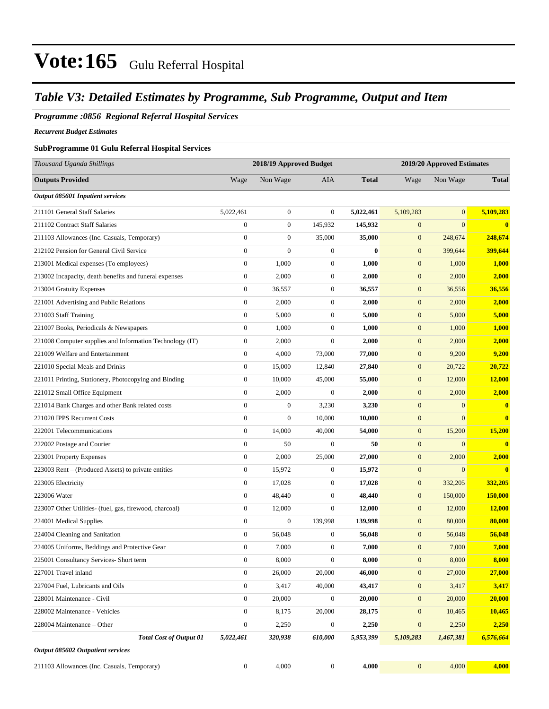### *Table V3: Detailed Estimates by Programme, Sub Programme, Output and Item*

#### *Programme :0856 Regional Referral Hospital Services*

*Recurrent Budget Estimates*

#### **SubProgramme 01 Gulu Referral Hospital Services**

| Thousand Uganda Shillings                                |                  | 2018/19 Approved Budget |                  |              |                  | 2019/20 Approved Estimates |               |
|----------------------------------------------------------|------------------|-------------------------|------------------|--------------|------------------|----------------------------|---------------|
| <b>Outputs Provided</b>                                  | Wage             | Non Wage                | <b>AIA</b>       | <b>Total</b> | Wage             | Non Wage                   | <b>Total</b>  |
| Output 085601 Inpatient services                         |                  |                         |                  |              |                  |                            |               |
| 211101 General Staff Salaries                            | 5,022,461        | $\boldsymbol{0}$        | $\boldsymbol{0}$ | 5,022,461    | 5,109,283        | $\mathbf{0}$               | 5,109,283     |
| 211102 Contract Staff Salaries                           | $\boldsymbol{0}$ | $\boldsymbol{0}$        | 145,932          | 145,932      | $\boldsymbol{0}$ | $\mathbf{0}$               | $\bf{0}$      |
| 211103 Allowances (Inc. Casuals, Temporary)              | $\boldsymbol{0}$ | $\boldsymbol{0}$        | 35,000           | 35,000       | $\boldsymbol{0}$ | 248,674                    | 248,674       |
| 212102 Pension for General Civil Service                 | $\boldsymbol{0}$ | $\boldsymbol{0}$        | $\boldsymbol{0}$ | $\bf{0}$     | $\boldsymbol{0}$ | 399,644                    | 399,644       |
| 213001 Medical expenses (To employees)                   | $\boldsymbol{0}$ | 1,000                   | $\boldsymbol{0}$ | 1,000        | $\boldsymbol{0}$ | 1,000                      | 1,000         |
| 213002 Incapacity, death benefits and funeral expenses   | $\boldsymbol{0}$ | 2,000                   | $\boldsymbol{0}$ | 2,000        | $\boldsymbol{0}$ | 2,000                      | 2,000         |
| 213004 Gratuity Expenses                                 | $\boldsymbol{0}$ | 36,557                  | $\boldsymbol{0}$ | 36,557       | $\boldsymbol{0}$ | 36,556                     | 36,556        |
| 221001 Advertising and Public Relations                  | $\boldsymbol{0}$ | 2,000                   | $\boldsymbol{0}$ | 2,000        | $\boldsymbol{0}$ | 2,000                      | 2,000         |
| 221003 Staff Training                                    | $\boldsymbol{0}$ | 5,000                   | $\boldsymbol{0}$ | 5,000        | $\boldsymbol{0}$ | 5,000                      | 5,000         |
| 221007 Books, Periodicals & Newspapers                   | $\boldsymbol{0}$ | 1,000                   | $\boldsymbol{0}$ | 1,000        | $\boldsymbol{0}$ | 1,000                      | 1,000         |
| 221008 Computer supplies and Information Technology (IT) | $\boldsymbol{0}$ | 2,000                   | $\boldsymbol{0}$ | 2,000        | $\boldsymbol{0}$ | 2,000                      | 2,000         |
| 221009 Welfare and Entertainment                         | $\boldsymbol{0}$ | 4,000                   | 73,000           | 77,000       | $\boldsymbol{0}$ | 9,200                      | 9,200         |
| 221010 Special Meals and Drinks                          | $\boldsymbol{0}$ | 15,000                  | 12,840           | 27,840       | $\mathbf{0}$     | 20,722                     | 20,722        |
| 221011 Printing, Stationery, Photocopying and Binding    | $\boldsymbol{0}$ | 10,000                  | 45,000           | 55,000       | $\boldsymbol{0}$ | 12,000                     | <b>12,000</b> |
| 221012 Small Office Equipment                            | $\boldsymbol{0}$ | 2,000                   | $\boldsymbol{0}$ | 2,000        | $\boldsymbol{0}$ | 2,000                      | 2,000         |
| 221014 Bank Charges and other Bank related costs         | $\boldsymbol{0}$ | $\boldsymbol{0}$        | 3,230            | 3,230        | $\boldsymbol{0}$ | $\mathbf{0}$               | $\bf{0}$      |
| 221020 IPPS Recurrent Costs                              | $\boldsymbol{0}$ | $\overline{0}$          | 10,000           | 10,000       | $\boldsymbol{0}$ | $\mathbf{0}$               | $\mathbf{0}$  |
| 222001 Telecommunications                                | $\boldsymbol{0}$ | 14,000                  | 40,000           | 54,000       | $\mathbf{0}$     | 15,200                     | 15,200        |
| 222002 Postage and Courier                               | $\boldsymbol{0}$ | 50                      | $\boldsymbol{0}$ | 50           | $\boldsymbol{0}$ | $\mathbf{0}$               | $\mathbf{0}$  |
| 223001 Property Expenses                                 | $\boldsymbol{0}$ | 2,000                   | 25,000           | 27,000       | $\boldsymbol{0}$ | 2,000                      | 2,000         |
| 223003 Rent – (Produced Assets) to private entities      | $\boldsymbol{0}$ | 15,972                  | $\boldsymbol{0}$ | 15,972       | $\boldsymbol{0}$ | $\mathbf{0}$               | $\bf{0}$      |
| 223005 Electricity                                       | $\boldsymbol{0}$ | 17,028                  | $\boldsymbol{0}$ | 17,028       | $\boldsymbol{0}$ | 332,205                    | 332,205       |
| 223006 Water                                             | $\boldsymbol{0}$ | 48,440                  | $\boldsymbol{0}$ | 48,440       | $\mathbf{0}$     | 150,000                    | 150,000       |
| 223007 Other Utilities- (fuel, gas, firewood, charcoal)  | $\boldsymbol{0}$ | 12,000                  | $\boldsymbol{0}$ | 12,000       | $\boldsymbol{0}$ | 12,000                     | <b>12,000</b> |
| 224001 Medical Supplies                                  | $\boldsymbol{0}$ | $\boldsymbol{0}$        | 139,998          | 139,998      | $\boldsymbol{0}$ | 80,000                     | 80,000        |
| 224004 Cleaning and Sanitation                           | $\boldsymbol{0}$ | 56,048                  | $\boldsymbol{0}$ | 56,048       | $\boldsymbol{0}$ | 56,048                     | 56,048        |
| 224005 Uniforms, Beddings and Protective Gear            | $\boldsymbol{0}$ | 7,000                   | $\boldsymbol{0}$ | 7,000        | $\boldsymbol{0}$ | 7,000                      | 7,000         |
| 225001 Consultancy Services- Short term                  | $\boldsymbol{0}$ | 8,000                   | $\boldsymbol{0}$ | 8,000        | $\boldsymbol{0}$ | 8,000                      | 8,000         |
| 227001 Travel inland                                     | $\boldsymbol{0}$ | 26,000                  | 20,000           | 46,000       | $\boldsymbol{0}$ | 27,000                     | 27,000        |
| 227004 Fuel, Lubricants and Oils                         | $\boldsymbol{0}$ | 3,417                   | 40,000           | 43,417       | $\boldsymbol{0}$ | 3,417                      | 3,417         |
| 228001 Maintenance - Civil                               | $\boldsymbol{0}$ | 20,000                  | $\boldsymbol{0}$ | 20,000       | $\boldsymbol{0}$ | 20,000                     | 20,000        |
| 228002 Maintenance - Vehicles                            | $\boldsymbol{0}$ | 8,175                   | 20,000           | 28,175       | $\mathbf{0}$     | 10,465                     | 10,465        |
| 228004 Maintenance – Other                               | $\boldsymbol{0}$ | 2,250                   | $\boldsymbol{0}$ | 2,250        | $\boldsymbol{0}$ | 2,250                      | 2,250         |
| <b>Total Cost of Output 01</b>                           | 5,022,461        | 320,938                 | 610,000          | 5,953,399    | 5,109,283        | 1,467,381                  | 6,576,664     |
| Output 085602 Outpatient services                        |                  |                         |                  |              |                  |                            |               |
| 211103 Allowances (Inc. Casuals, Temporary)              | $\boldsymbol{0}$ | 4,000                   | $\boldsymbol{0}$ | 4,000        | $\mathbf{0}$     | 4,000                      | 4,000         |
|                                                          |                  |                         |                  |              |                  |                            |               |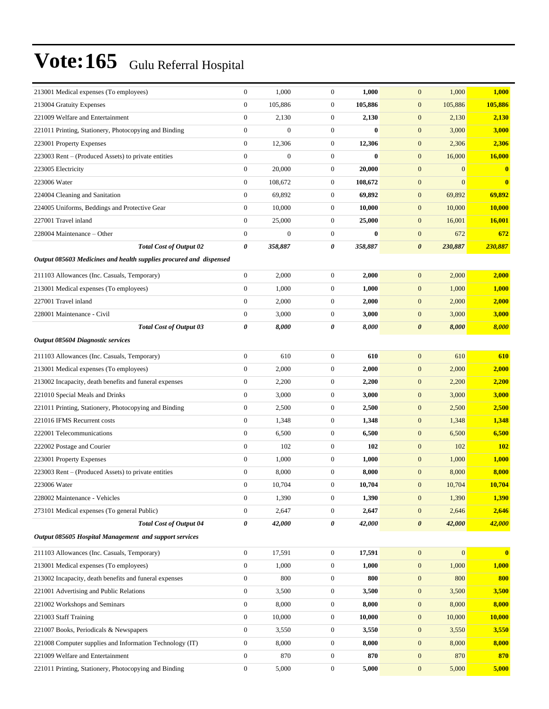| 213001 Medical expenses (To employees)                             | $\mathbf{0}$     | 1,000            | $\theta$         | 1,000        | $\mathbf{0}$<br>1,000                | 1,000         |
|--------------------------------------------------------------------|------------------|------------------|------------------|--------------|--------------------------------------|---------------|
| 213004 Gratuity Expenses                                           | $\boldsymbol{0}$ | 105,886          | $\mathbf{0}$     | 105,886      | 105,886<br>$\mathbf{0}$              | 105,886       |
| 221009 Welfare and Entertainment                                   | $\boldsymbol{0}$ | 2,130            | $\mathbf{0}$     | 2,130        | 2,130<br>$\mathbf{0}$                | 2,130         |
| 221011 Printing, Stationery, Photocopying and Binding              | $\boldsymbol{0}$ | $\boldsymbol{0}$ | $\mathbf{0}$     | $\bf{0}$     | $\mathbf{0}$<br>3,000                | 3,000         |
| 223001 Property Expenses                                           | $\boldsymbol{0}$ | 12,306           | $\mathbf{0}$     | 12,306       | $\mathbf{0}$<br>2,306                | 2,306         |
| 223003 Rent - (Produced Assets) to private entities                | $\boldsymbol{0}$ | $\overline{0}$   | $\mathbf{0}$     | $\mathbf{0}$ | $\boldsymbol{0}$<br>16,000           | 16,000        |
| 223005 Electricity                                                 | $\boldsymbol{0}$ | 20,000           | $\mathbf{0}$     | 20,000       | $\mathbf{0}$<br>$\boldsymbol{0}$     | $\bf{0}$      |
| 223006 Water                                                       | $\boldsymbol{0}$ | 108,672          | $\mathbf{0}$     | 108,672      | $\boldsymbol{0}$<br>$\boldsymbol{0}$ | $\bf{0}$      |
| 224004 Cleaning and Sanitation                                     | $\boldsymbol{0}$ | 69,892           | $\mathbf{0}$     | 69,892       | $\boldsymbol{0}$<br>69,892           | 69,892        |
| 224005 Uniforms, Beddings and Protective Gear                      | $\overline{0}$   | 10,000           | $\mathbf{0}$     | 10,000       | $\mathbf{0}$<br>10,000               | <b>10,000</b> |
| 227001 Travel inland                                               | $\boldsymbol{0}$ | 25,000           | $\mathbf{0}$     | 25,000       | $\mathbf{0}$<br>16,001               | 16,001        |
| 228004 Maintenance - Other                                         | $\boldsymbol{0}$ | $\boldsymbol{0}$ | $\mathbf{0}$     | $\bf{0}$     | $\mathbf{0}$<br>672                  | 672           |
| <b>Total Cost of Output 02</b>                                     | 0                | 358,887          | 0                | 358,887      | 230,887<br>$\boldsymbol{\theta}$     | 230,887       |
| Output 085603 Medicines and health supplies procured and dispensed |                  |                  |                  |              |                                      |               |
| 211103 Allowances (Inc. Casuals, Temporary)                        | $\mathbf{0}$     | 2,000            | $\boldsymbol{0}$ | 2,000        | $\mathbf{0}$<br>2,000                | 2,000         |
| 213001 Medical expenses (To employees)                             | $\boldsymbol{0}$ | 1,000            | $\boldsymbol{0}$ | 1,000        | $\boldsymbol{0}$<br>1,000            | 1,000         |
| 227001 Travel inland                                               | $\boldsymbol{0}$ | 2,000            | $\boldsymbol{0}$ | 2,000        | $\boldsymbol{0}$<br>2,000            | 2,000         |
| 228001 Maintenance - Civil                                         | $\boldsymbol{0}$ | 3,000            | $\boldsymbol{0}$ | 3,000        | $\mathbf{0}$<br>3,000                | 3,000         |
| <b>Total Cost of Output 03</b>                                     | 0                | 8,000            | 0                | 8,000        | 8,000<br>$\boldsymbol{\theta}$       | 8,000         |
| <b>Output 085604 Diagnostic services</b>                           |                  |                  |                  |              |                                      |               |
| 211103 Allowances (Inc. Casuals, Temporary)                        | $\mathbf{0}$     | 610              | $\boldsymbol{0}$ | 610          | $\mathbf{0}$<br>610                  | 610           |
| 213001 Medical expenses (To employees)                             | $\overline{0}$   | 2,000            | $\boldsymbol{0}$ | 2,000        | $\mathbf{0}$<br>2,000                | 2,000         |
| 213002 Incapacity, death benefits and funeral expenses             | $\mathbf{0}$     | 2,200            | $\boldsymbol{0}$ | 2,200        | $\mathbf{0}$<br>2,200                | 2,200         |
| 221010 Special Meals and Drinks                                    | $\mathbf{0}$     | 3,000            | $\boldsymbol{0}$ | 3,000        | $\mathbf{0}$<br>3,000                | 3,000         |
| 221011 Printing, Stationery, Photocopying and Binding              | $\mathbf{0}$     | 2,500            | $\boldsymbol{0}$ | 2,500        | $\boldsymbol{0}$<br>2,500            | 2,500         |
| 221016 IFMS Recurrent costs                                        | $\mathbf{0}$     | 1,348            | $\boldsymbol{0}$ | 1,348        | $\boldsymbol{0}$<br>1,348            | 1,348         |
| 222001 Telecommunications                                          | $\overline{0}$   | 6,500            | $\boldsymbol{0}$ | 6,500        | $\boldsymbol{0}$<br>6,500            | 6,500         |
| 222002 Postage and Courier                                         | $\mathbf{0}$     | 102              | $\boldsymbol{0}$ | 102          | $\mathbf{0}$<br>102                  | <b>102</b>    |
| 223001 Property Expenses                                           | $\overline{0}$   | 1,000            | $\boldsymbol{0}$ | 1,000        | $\mathbf{0}$<br>1,000                | 1,000         |
| 223003 Rent – (Produced Assets) to private entities                | $\boldsymbol{0}$ | 8,000            | $\boldsymbol{0}$ | 8,000        | $\boldsymbol{0}$<br>8,000            | 8,000         |
| 223006 Water                                                       | $\boldsymbol{0}$ | 10,704           | $\boldsymbol{0}$ | 10,704       | $\boldsymbol{0}$<br>10,704           | 10.704        |
| 228002 Maintenance - Vehicles                                      | $\mathbf{0}$     | 1,390            | $\boldsymbol{0}$ | 1,390        | $\boldsymbol{0}$<br>1,390            | 1,390         |
| 273101 Medical expenses (To general Public)                        | $\boldsymbol{0}$ | 2,647            | $\boldsymbol{0}$ | 2,647        | $\boldsymbol{0}$<br>2,646            | 2,646         |
| <b>Total Cost of Output 04</b>                                     | 0                | 42,000           | $\pmb{\theta}$   | 42,000       | $\boldsymbol{\theta}$<br>42,000      | 42,000        |
| Output 085605 Hospital Management and support services             |                  |                  |                  |              |                                      |               |
|                                                                    |                  |                  |                  |              |                                      |               |
| 211103 Allowances (Inc. Casuals, Temporary)                        | $\boldsymbol{0}$ | 17,591           | $\boldsymbol{0}$ | 17,591       | $\boldsymbol{0}$<br>$\boldsymbol{0}$ | $\bf{0}$      |
| 213001 Medical expenses (To employees)                             | 0                | 1,000            | $\boldsymbol{0}$ | 1,000        | $\mathbf{0}$<br>1,000                | 1,000         |
| 213002 Incapacity, death benefits and funeral expenses             | $\boldsymbol{0}$ | 800              | $\boldsymbol{0}$ | 800          | $\boldsymbol{0}$<br>800              | 800           |
| 221001 Advertising and Public Relations                            | $\boldsymbol{0}$ | 3,500            | $\boldsymbol{0}$ | 3,500        | 3,500<br>$\boldsymbol{0}$            | 3,500         |
| 221002 Workshops and Seminars                                      | $\boldsymbol{0}$ | 8,000            | $\boldsymbol{0}$ | 8,000        | 8,000<br>$\mathbf{0}$                | 8,000         |
| 221003 Staff Training                                              | $\boldsymbol{0}$ | 10,000           | $\boldsymbol{0}$ | 10,000       | 10,000<br>$\boldsymbol{0}$           | 10,000        |
| 221007 Books, Periodicals & Newspapers                             | 0                | 3,550            | $\boldsymbol{0}$ | 3,550        | 3,550<br>$\mathbf{0}$                | 3,550         |
| 221008 Computer supplies and Information Technology (IT)           | $\boldsymbol{0}$ | 8,000            | $\boldsymbol{0}$ | 8,000        | $\boldsymbol{0}$<br>8,000            | 8,000         |
| 221009 Welfare and Entertainment                                   | 0                | 870              | $\boldsymbol{0}$ | 870          | 870<br>$\mathbf{0}$                  | 870           |
| 221011 Printing, Stationery, Photocopying and Binding              | $\boldsymbol{0}$ | 5,000            | $\boldsymbol{0}$ | 5,000        | $\mathbf{0}$<br>5,000                | 5,000         |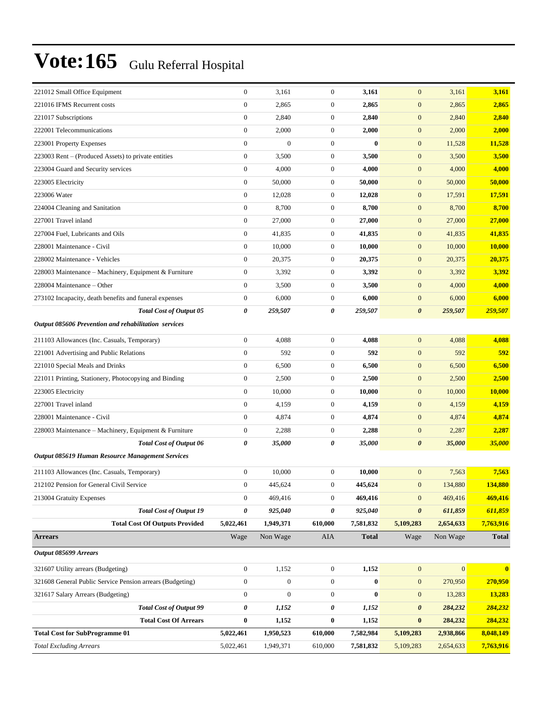|                                                       | 3,161                                                                                                                                                 | $\mathbf{0}$                                                                                                                                                                                                                                                                                                                                                                                                                                                                                                                                                                                                                                                                                                                          | 3,161                                                                            | $\mathbf{0}$          | 3,161                                                                                                                                                                                                                                                                                                                                                                                                                                                                                                    | 3,161                                                                |
|-------------------------------------------------------|-------------------------------------------------------------------------------------------------------------------------------------------------------|---------------------------------------------------------------------------------------------------------------------------------------------------------------------------------------------------------------------------------------------------------------------------------------------------------------------------------------------------------------------------------------------------------------------------------------------------------------------------------------------------------------------------------------------------------------------------------------------------------------------------------------------------------------------------------------------------------------------------------------|----------------------------------------------------------------------------------|-----------------------|----------------------------------------------------------------------------------------------------------------------------------------------------------------------------------------------------------------------------------------------------------------------------------------------------------------------------------------------------------------------------------------------------------------------------------------------------------------------------------------------------------|----------------------------------------------------------------------|
|                                                       | 2,865                                                                                                                                                 | $\mathbf{0}$                                                                                                                                                                                                                                                                                                                                                                                                                                                                                                                                                                                                                                                                                                                          |                                                                                  | $\mathbf{0}$          | 2,865                                                                                                                                                                                                                                                                                                                                                                                                                                                                                                    | 2,865                                                                |
|                                                       | 2,840                                                                                                                                                 | $\mathbf{0}$                                                                                                                                                                                                                                                                                                                                                                                                                                                                                                                                                                                                                                                                                                                          |                                                                                  | $\boldsymbol{0}$      | 2,840                                                                                                                                                                                                                                                                                                                                                                                                                                                                                                    | 2,840                                                                |
|                                                       | 2,000                                                                                                                                                 | $\mathbf{0}$                                                                                                                                                                                                                                                                                                                                                                                                                                                                                                                                                                                                                                                                                                                          |                                                                                  | $\boldsymbol{0}$      | 2,000                                                                                                                                                                                                                                                                                                                                                                                                                                                                                                    | 2,000                                                                |
|                                                       | $\mathbf{0}$                                                                                                                                          | $\boldsymbol{0}$                                                                                                                                                                                                                                                                                                                                                                                                                                                                                                                                                                                                                                                                                                                      |                                                                                  | $\mathbf{0}$          | 11,528                                                                                                                                                                                                                                                                                                                                                                                                                                                                                                   | 11,528                                                               |
|                                                       | 3,500                                                                                                                                                 | $\mathbf{0}$                                                                                                                                                                                                                                                                                                                                                                                                                                                                                                                                                                                                                                                                                                                          |                                                                                  | $\mathbf{0}$          | 3,500                                                                                                                                                                                                                                                                                                                                                                                                                                                                                                    | 3,500                                                                |
|                                                       | 4,000                                                                                                                                                 | $\mathbf{0}$                                                                                                                                                                                                                                                                                                                                                                                                                                                                                                                                                                                                                                                                                                                          |                                                                                  | $\mathbf{0}$          | 4,000                                                                                                                                                                                                                                                                                                                                                                                                                                                                                                    | 4,000                                                                |
|                                                       | 50,000                                                                                                                                                | $\mathbf{0}$                                                                                                                                                                                                                                                                                                                                                                                                                                                                                                                                                                                                                                                                                                                          |                                                                                  | $\boldsymbol{0}$      | 50,000                                                                                                                                                                                                                                                                                                                                                                                                                                                                                                   | 50,000                                                               |
|                                                       | 12,028                                                                                                                                                | $\boldsymbol{0}$                                                                                                                                                                                                                                                                                                                                                                                                                                                                                                                                                                                                                                                                                                                      |                                                                                  | $\boldsymbol{0}$      | 17,591                                                                                                                                                                                                                                                                                                                                                                                                                                                                                                   | 17,591                                                               |
|                                                       | 8,700                                                                                                                                                 | $\boldsymbol{0}$                                                                                                                                                                                                                                                                                                                                                                                                                                                                                                                                                                                                                                                                                                                      |                                                                                  | $\mathbf{0}$          | 8,700                                                                                                                                                                                                                                                                                                                                                                                                                                                                                                    | 8,700                                                                |
|                                                       | 27,000                                                                                                                                                | $\mathbf{0}$                                                                                                                                                                                                                                                                                                                                                                                                                                                                                                                                                                                                                                                                                                                          |                                                                                  | $\mathbf{0}$          | 27,000                                                                                                                                                                                                                                                                                                                                                                                                                                                                                                   | 27,000                                                               |
|                                                       | 41,835                                                                                                                                                | $\boldsymbol{0}$                                                                                                                                                                                                                                                                                                                                                                                                                                                                                                                                                                                                                                                                                                                      |                                                                                  | $\mathbf{0}$          | 41,835                                                                                                                                                                                                                                                                                                                                                                                                                                                                                                   | 41,835                                                               |
|                                                       | 10,000                                                                                                                                                | $\mathbf{0}$                                                                                                                                                                                                                                                                                                                                                                                                                                                                                                                                                                                                                                                                                                                          |                                                                                  | $\boldsymbol{0}$      | 10,000                                                                                                                                                                                                                                                                                                                                                                                                                                                                                                   | 10,000                                                               |
|                                                       | 20,375                                                                                                                                                | $\mathbf{0}$                                                                                                                                                                                                                                                                                                                                                                                                                                                                                                                                                                                                                                                                                                                          |                                                                                  | $\boldsymbol{0}$      | 20,375                                                                                                                                                                                                                                                                                                                                                                                                                                                                                                   | 20,375                                                               |
| 228003 Maintenance - Machinery, Equipment & Furniture | 3,392                                                                                                                                                 | $\mathbf{0}$                                                                                                                                                                                                                                                                                                                                                                                                                                                                                                                                                                                                                                                                                                                          |                                                                                  | $\mathbf{0}$          | 3,392                                                                                                                                                                                                                                                                                                                                                                                                                                                                                                    | 3,392                                                                |
|                                                       | 3,500                                                                                                                                                 | $\mathbf{0}$                                                                                                                                                                                                                                                                                                                                                                                                                                                                                                                                                                                                                                                                                                                          |                                                                                  | $\mathbf{0}$          | 4,000                                                                                                                                                                                                                                                                                                                                                                                                                                                                                                    | 4,000                                                                |
|                                                       | 6,000                                                                                                                                                 | $\mathbf{0}$                                                                                                                                                                                                                                                                                                                                                                                                                                                                                                                                                                                                                                                                                                                          |                                                                                  | $\mathbf{0}$          | 6,000                                                                                                                                                                                                                                                                                                                                                                                                                                                                                                    | 6,000                                                                |
| <b>Total Cost of Output 05</b>                        | 259,507                                                                                                                                               | 0                                                                                                                                                                                                                                                                                                                                                                                                                                                                                                                                                                                                                                                                                                                                     | 259,507                                                                          | $\boldsymbol{\theta}$ | 259,507                                                                                                                                                                                                                                                                                                                                                                                                                                                                                                  | 259,507                                                              |
| Output 085606 Prevention and rehabilitation services  |                                                                                                                                                       |                                                                                                                                                                                                                                                                                                                                                                                                                                                                                                                                                                                                                                                                                                                                       |                                                                                  |                       |                                                                                                                                                                                                                                                                                                                                                                                                                                                                                                          |                                                                      |
|                                                       | 4,088                                                                                                                                                 | $\mathbf{0}$                                                                                                                                                                                                                                                                                                                                                                                                                                                                                                                                                                                                                                                                                                                          |                                                                                  | $\mathbf{0}$          | 4,088                                                                                                                                                                                                                                                                                                                                                                                                                                                                                                    | 4,088                                                                |
|                                                       | 592                                                                                                                                                   | $\mathbf{0}$                                                                                                                                                                                                                                                                                                                                                                                                                                                                                                                                                                                                                                                                                                                          |                                                                                  | $\boldsymbol{0}$      | 592                                                                                                                                                                                                                                                                                                                                                                                                                                                                                                      | 592                                                                  |
|                                                       | 6,500                                                                                                                                                 | $\mathbf{0}$                                                                                                                                                                                                                                                                                                                                                                                                                                                                                                                                                                                                                                                                                                                          |                                                                                  | $\boldsymbol{0}$      | 6,500                                                                                                                                                                                                                                                                                                                                                                                                                                                                                                    | 6,500                                                                |
| 221011 Printing, Stationery, Photocopying and Binding | 2,500                                                                                                                                                 | $\mathbf{0}$                                                                                                                                                                                                                                                                                                                                                                                                                                                                                                                                                                                                                                                                                                                          |                                                                                  | $\mathbf{0}$          | 2,500                                                                                                                                                                                                                                                                                                                                                                                                                                                                                                    | 2,500                                                                |
|                                                       | 10,000                                                                                                                                                | $\mathbf{0}$                                                                                                                                                                                                                                                                                                                                                                                                                                                                                                                                                                                                                                                                                                                          |                                                                                  | $\mathbf{0}$          | 10,000                                                                                                                                                                                                                                                                                                                                                                                                                                                                                                   | 10,000                                                               |
|                                                       | 4,159                                                                                                                                                 | $\boldsymbol{0}$                                                                                                                                                                                                                                                                                                                                                                                                                                                                                                                                                                                                                                                                                                                      |                                                                                  | $\mathbf{0}$          | 4,159                                                                                                                                                                                                                                                                                                                                                                                                                                                                                                    | 4,159                                                                |
|                                                       | 4,874                                                                                                                                                 | $\mathbf{0}$                                                                                                                                                                                                                                                                                                                                                                                                                                                                                                                                                                                                                                                                                                                          |                                                                                  | $\mathbf{0}$          | 4,874                                                                                                                                                                                                                                                                                                                                                                                                                                                                                                    | 4,874                                                                |
| 228003 Maintenance – Machinery, Equipment & Furniture | 2,288                                                                                                                                                 | $\mathbf{0}$                                                                                                                                                                                                                                                                                                                                                                                                                                                                                                                                                                                                                                                                                                                          |                                                                                  | $\boldsymbol{0}$      | 2,287                                                                                                                                                                                                                                                                                                                                                                                                                                                                                                    | 2,287                                                                |
| <b>Total Cost of Output 06</b>                        | 35,000                                                                                                                                                | 0                                                                                                                                                                                                                                                                                                                                                                                                                                                                                                                                                                                                                                                                                                                                     |                                                                                  | $\boldsymbol{\theta}$ | 35,000                                                                                                                                                                                                                                                                                                                                                                                                                                                                                                   | 35,000                                                               |
| Output 085619 Human Resource Management Services      |                                                                                                                                                       |                                                                                                                                                                                                                                                                                                                                                                                                                                                                                                                                                                                                                                                                                                                                       |                                                                                  |                       |                                                                                                                                                                                                                                                                                                                                                                                                                                                                                                          |                                                                      |
|                                                       | 10,000                                                                                                                                                | $\mathbf{0}$                                                                                                                                                                                                                                                                                                                                                                                                                                                                                                                                                                                                                                                                                                                          |                                                                                  | $\mathbf{0}$          | 7,563                                                                                                                                                                                                                                                                                                                                                                                                                                                                                                    | 7,563                                                                |
|                                                       | 445,624                                                                                                                                               | $\boldsymbol{0}$                                                                                                                                                                                                                                                                                                                                                                                                                                                                                                                                                                                                                                                                                                                      |                                                                                  |                       | 134,880                                                                                                                                                                                                                                                                                                                                                                                                                                                                                                  | 134,880                                                              |
|                                                       | 469,416                                                                                                                                               | $\boldsymbol{0}$                                                                                                                                                                                                                                                                                                                                                                                                                                                                                                                                                                                                                                                                                                                      |                                                                                  | $\mathbf{0}$          | 469,416                                                                                                                                                                                                                                                                                                                                                                                                                                                                                                  | 469,416                                                              |
| <b>Total Cost of Output 19</b>                        | 925,040                                                                                                                                               | 0                                                                                                                                                                                                                                                                                                                                                                                                                                                                                                                                                                                                                                                                                                                                     |                                                                                  | $\boldsymbol{\theta}$ | 611,859                                                                                                                                                                                                                                                                                                                                                                                                                                                                                                  | 611,859                                                              |
| <b>Total Cost Of Outputs Provided</b>                 | 1,949,371                                                                                                                                             | 610,000                                                                                                                                                                                                                                                                                                                                                                                                                                                                                                                                                                                                                                                                                                                               |                                                                                  | 5,109,283             | 2,654,633                                                                                                                                                                                                                                                                                                                                                                                                                                                                                                | 7,763,916                                                            |
|                                                       | Non Wage                                                                                                                                              | AIA                                                                                                                                                                                                                                                                                                                                                                                                                                                                                                                                                                                                                                                                                                                                   |                                                                                  | Wage                  | Non Wage                                                                                                                                                                                                                                                                                                                                                                                                                                                                                                 | <b>Total</b>                                                         |
|                                                       |                                                                                                                                                       |                                                                                                                                                                                                                                                                                                                                                                                                                                                                                                                                                                                                                                                                                                                                       |                                                                                  |                       |                                                                                                                                                                                                                                                                                                                                                                                                                                                                                                          |                                                                      |
|                                                       |                                                                                                                                                       |                                                                                                                                                                                                                                                                                                                                                                                                                                                                                                                                                                                                                                                                                                                                       |                                                                                  |                       |                                                                                                                                                                                                                                                                                                                                                                                                                                                                                                          | $\bf{0}$                                                             |
|                                                       |                                                                                                                                                       |                                                                                                                                                                                                                                                                                                                                                                                                                                                                                                                                                                                                                                                                                                                                       |                                                                                  |                       |                                                                                                                                                                                                                                                                                                                                                                                                                                                                                                          | 270,950                                                              |
|                                                       |                                                                                                                                                       |                                                                                                                                                                                                                                                                                                                                                                                                                                                                                                                                                                                                                                                                                                                                       |                                                                                  |                       |                                                                                                                                                                                                                                                                                                                                                                                                                                                                                                          | 13,283                                                               |
|                                                       |                                                                                                                                                       |                                                                                                                                                                                                                                                                                                                                                                                                                                                                                                                                                                                                                                                                                                                                       |                                                                                  |                       |                                                                                                                                                                                                                                                                                                                                                                                                                                                                                                          | 284,232                                                              |
|                                                       |                                                                                                                                                       |                                                                                                                                                                                                                                                                                                                                                                                                                                                                                                                                                                                                                                                                                                                                       |                                                                                  |                       |                                                                                                                                                                                                                                                                                                                                                                                                                                                                                                          | 284,232                                                              |
|                                                       |                                                                                                                                                       |                                                                                                                                                                                                                                                                                                                                                                                                                                                                                                                                                                                                                                                                                                                                       |                                                                                  |                       |                                                                                                                                                                                                                                                                                                                                                                                                                                                                                                          | 8,048,149                                                            |
|                                                       | 1,949,371                                                                                                                                             | 610,000                                                                                                                                                                                                                                                                                                                                                                                                                                                                                                                                                                                                                                                                                                                               | 7,581,832                                                                        | 5,109,283             | 2,654,633                                                                                                                                                                                                                                                                                                                                                                                                                                                                                                | 7,763,916                                                            |
|                                                       | 321608 General Public Service Pension arrears (Budgeting)<br><b>Total Cost of Output 99</b><br><b>Total Cost Of Arrears</b><br>5,022,461<br>5,022,461 | $\boldsymbol{0}$<br>$\boldsymbol{0}$<br>$\boldsymbol{0}$<br>$\boldsymbol{0}$<br>$\boldsymbol{0}$<br>$\boldsymbol{0}$<br>$\boldsymbol{0}$<br>$\boldsymbol{0}$<br>$\boldsymbol{0}$<br>$\boldsymbol{0}$<br>$\boldsymbol{0}$<br>$\mathbf{0}$<br>$\mathbf{0}$<br>$\boldsymbol{0}$<br>$\mathbf{0}$<br>$\mathbf{0}$<br>$\mathbf{0}$<br>0<br>$\mathbf{0}$<br>$\boldsymbol{0}$<br>$\mathbf{0}$<br>$\mathbf{0}$<br>$\overline{0}$<br>$\overline{0}$<br>$\boldsymbol{0}$<br>$\boldsymbol{0}$<br>0<br>$\boldsymbol{0}$<br>$\boldsymbol{0}$<br>$\mathbf{0}$<br>0<br>5,022,461<br>Wage<br>$\boldsymbol{0}$<br>1,152<br>$\boldsymbol{0}$<br>$\boldsymbol{0}$<br>$\boldsymbol{0}$<br>$\boldsymbol{0}$<br>0<br>1,152<br>$\bf{0}$<br>1,152<br>1,950,523 | $\mathbf{0}$<br>$\boldsymbol{0}$<br>$\boldsymbol{0}$<br>0<br>$\bf{0}$<br>610,000 |                       | 2,865<br>2,840<br>2,000<br>$\mathbf{0}$<br>3,500<br>4,000<br>50,000<br>12,028<br>8,700<br>27,000<br>41,835<br>10,000<br>20,375<br>3,392<br>3,500<br>6,000<br>4,088<br>592<br>6,500<br>2,500<br>10,000<br>4,159<br>4,874<br>2,288<br>35,000<br>10,000<br>445,624<br>$\mathbf{0}$<br>469,416<br>925,040<br>7,581,832<br><b>Total</b><br>$\boldsymbol{0}$<br>1,152<br>$\bf{0}$<br>$\mathbf{0}$<br>$\bf{0}$<br>$\mathbf{0}$<br>1,152<br>$\boldsymbol{\theta}$<br>1,152<br>$\bf{0}$<br>7,582,984<br>5,109,283 | $\mathbf{0}$<br>270,950<br>13,283<br>284,232<br>284,232<br>2,938,866 |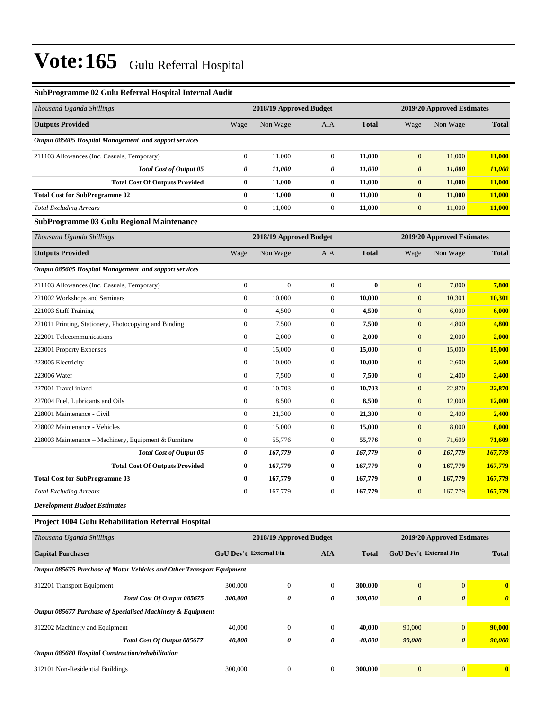#### **SubProgramme 02 Gulu Referral Hospital Internal Audit**

| Non Wage<br>11,000<br>11,000<br>11,000<br>11,000<br>11,000<br>2018/19 Approved Budget<br>Non Wage<br>$\boldsymbol{0}$<br>10,000<br>4,500<br>7,500<br>2,000<br>15,000<br>10,000 | AIA<br>$\boldsymbol{0}$<br>0<br>0<br>0<br>$\boldsymbol{0}$<br>AIA<br>$\mathbf{0}$<br>$\boldsymbol{0}$<br>$\boldsymbol{0}$<br>$\boldsymbol{0}$<br>$\boldsymbol{0}$<br>$\boldsymbol{0}$ | <b>Total</b><br>11,000<br>11,000<br>11,000<br>11,000<br>11,000<br><b>Total</b><br>$\bf{0}$<br>10,000<br>4,500<br>7,500<br>2,000<br>15,000 | Wage<br>$\boldsymbol{0}$<br>$\pmb{\theta}$<br>$\bf{0}$<br>$\bf{0}$<br>$\boldsymbol{0}$<br>Wage<br>$\boldsymbol{0}$<br>$\boldsymbol{0}$<br>$\mathbf{0}$<br>$\boldsymbol{0}$<br>$\boldsymbol{0}$<br>$\boldsymbol{0}$ | Non Wage<br>11,000<br>11,000<br>11,000<br>11,000<br>11,000<br>2019/20 Approved Estimates<br>Non Wage<br>7,800<br>10,301<br>6,000<br>4,800<br>2,000<br>15,000 | <b>Total</b><br>11,000<br>11,000<br>11,000<br><b>11,000</b><br>11,000<br><b>Total</b><br>7,800<br>10,301<br>6,000<br>4,800<br>2,000<br>15,000 |
|--------------------------------------------------------------------------------------------------------------------------------------------------------------------------------|---------------------------------------------------------------------------------------------------------------------------------------------------------------------------------------|-------------------------------------------------------------------------------------------------------------------------------------------|--------------------------------------------------------------------------------------------------------------------------------------------------------------------------------------------------------------------|--------------------------------------------------------------------------------------------------------------------------------------------------------------|-----------------------------------------------------------------------------------------------------------------------------------------------|
|                                                                                                                                                                                |                                                                                                                                                                                       |                                                                                                                                           |                                                                                                                                                                                                                    |                                                                                                                                                              |                                                                                                                                               |
|                                                                                                                                                                                |                                                                                                                                                                                       |                                                                                                                                           |                                                                                                                                                                                                                    |                                                                                                                                                              |                                                                                                                                               |
|                                                                                                                                                                                |                                                                                                                                                                                       |                                                                                                                                           |                                                                                                                                                                                                                    |                                                                                                                                                              |                                                                                                                                               |
|                                                                                                                                                                                |                                                                                                                                                                                       |                                                                                                                                           |                                                                                                                                                                                                                    |                                                                                                                                                              |                                                                                                                                               |
|                                                                                                                                                                                |                                                                                                                                                                                       |                                                                                                                                           |                                                                                                                                                                                                                    |                                                                                                                                                              |                                                                                                                                               |
|                                                                                                                                                                                |                                                                                                                                                                                       |                                                                                                                                           |                                                                                                                                                                                                                    |                                                                                                                                                              |                                                                                                                                               |
|                                                                                                                                                                                |                                                                                                                                                                                       |                                                                                                                                           |                                                                                                                                                                                                                    |                                                                                                                                                              |                                                                                                                                               |
|                                                                                                                                                                                |                                                                                                                                                                                       |                                                                                                                                           |                                                                                                                                                                                                                    |                                                                                                                                                              |                                                                                                                                               |
|                                                                                                                                                                                |                                                                                                                                                                                       |                                                                                                                                           |                                                                                                                                                                                                                    |                                                                                                                                                              |                                                                                                                                               |
|                                                                                                                                                                                |                                                                                                                                                                                       |                                                                                                                                           |                                                                                                                                                                                                                    |                                                                                                                                                              |                                                                                                                                               |
|                                                                                                                                                                                |                                                                                                                                                                                       |                                                                                                                                           |                                                                                                                                                                                                                    |                                                                                                                                                              |                                                                                                                                               |
|                                                                                                                                                                                |                                                                                                                                                                                       |                                                                                                                                           |                                                                                                                                                                                                                    |                                                                                                                                                              |                                                                                                                                               |
|                                                                                                                                                                                |                                                                                                                                                                                       |                                                                                                                                           |                                                                                                                                                                                                                    |                                                                                                                                                              |                                                                                                                                               |
|                                                                                                                                                                                |                                                                                                                                                                                       |                                                                                                                                           |                                                                                                                                                                                                                    |                                                                                                                                                              |                                                                                                                                               |
|                                                                                                                                                                                |                                                                                                                                                                                       |                                                                                                                                           |                                                                                                                                                                                                                    |                                                                                                                                                              |                                                                                                                                               |
|                                                                                                                                                                                |                                                                                                                                                                                       |                                                                                                                                           |                                                                                                                                                                                                                    |                                                                                                                                                              |                                                                                                                                               |
|                                                                                                                                                                                |                                                                                                                                                                                       |                                                                                                                                           |                                                                                                                                                                                                                    |                                                                                                                                                              |                                                                                                                                               |
|                                                                                                                                                                                | $\boldsymbol{0}$                                                                                                                                                                      | 10,000                                                                                                                                    | $\mathbf{0}$                                                                                                                                                                                                       | 2,600                                                                                                                                                        | 2,600                                                                                                                                         |
| 7,500                                                                                                                                                                          | $\boldsymbol{0}$                                                                                                                                                                      | 7,500                                                                                                                                     | $\boldsymbol{0}$                                                                                                                                                                                                   | 2,400                                                                                                                                                        | 2,400                                                                                                                                         |
| 10,703                                                                                                                                                                         | $\boldsymbol{0}$                                                                                                                                                                      | 10,703                                                                                                                                    | $\boldsymbol{0}$                                                                                                                                                                                                   | 22,870                                                                                                                                                       | 22,870                                                                                                                                        |
| 8,500                                                                                                                                                                          | $\boldsymbol{0}$                                                                                                                                                                      | 8,500                                                                                                                                     | $\boldsymbol{0}$                                                                                                                                                                                                   | 12,000                                                                                                                                                       | 12,000                                                                                                                                        |
| 21,300                                                                                                                                                                         | $\boldsymbol{0}$                                                                                                                                                                      | 21,300                                                                                                                                    | $\boldsymbol{0}$                                                                                                                                                                                                   | 2,400                                                                                                                                                        | 2,400                                                                                                                                         |
| 15,000                                                                                                                                                                         | $\boldsymbol{0}$                                                                                                                                                                      | 15,000                                                                                                                                    | $\boldsymbol{0}$                                                                                                                                                                                                   | 8,000                                                                                                                                                        | 8,000                                                                                                                                         |
| 55,776                                                                                                                                                                         | $\boldsymbol{0}$                                                                                                                                                                      | 55,776                                                                                                                                    | $\boldsymbol{0}$                                                                                                                                                                                                   | 71,609                                                                                                                                                       | 71,609                                                                                                                                        |
| 167,779                                                                                                                                                                        | 0                                                                                                                                                                                     | 167,779                                                                                                                                   | $\pmb{\theta}$                                                                                                                                                                                                     | 167,779                                                                                                                                                      | 167,779                                                                                                                                       |
| 167,779                                                                                                                                                                        | 0                                                                                                                                                                                     | 167,779                                                                                                                                   | $\bf{0}$                                                                                                                                                                                                           | 167,779                                                                                                                                                      | 167,779                                                                                                                                       |
| 167,779                                                                                                                                                                        | 0                                                                                                                                                                                     | 167,779                                                                                                                                   | $\bf{0}$                                                                                                                                                                                                           | 167,779                                                                                                                                                      | 167,779                                                                                                                                       |
| 167,779                                                                                                                                                                        | $\mathbf{0}$                                                                                                                                                                          | 167,779                                                                                                                                   | $\mathbf{0}$                                                                                                                                                                                                       | 167,779                                                                                                                                                      | 167,779                                                                                                                                       |
|                                                                                                                                                                                |                                                                                                                                                                                       |                                                                                                                                           |                                                                                                                                                                                                                    |                                                                                                                                                              |                                                                                                                                               |
|                                                                                                                                                                                |                                                                                                                                                                                       |                                                                                                                                           |                                                                                                                                                                                                                    |                                                                                                                                                              |                                                                                                                                               |
|                                                                                                                                                                                |                                                                                                                                                                                       |                                                                                                                                           |                                                                                                                                                                                                                    |                                                                                                                                                              |                                                                                                                                               |
|                                                                                                                                                                                | <b>AIA</b>                                                                                                                                                                            | <b>Total</b>                                                                                                                              |                                                                                                                                                                                                                    |                                                                                                                                                              | <b>Total</b>                                                                                                                                  |
|                                                                                                                                                                                | GoU Dev't External Fin                                                                                                                                                                | 2018/19 Approved Budget                                                                                                                   |                                                                                                                                                                                                                    |                                                                                                                                                              | 2019/20 Approved Estimates<br>GoU Dev't External Fin                                                                                          |

| 312201 Transport Equipment                         |                                                             | 300,000 |   |   | 300,000 | $\overline{0}$ | $\overline{0}$        | $\bf{0}$              |
|----------------------------------------------------|-------------------------------------------------------------|---------|---|---|---------|----------------|-----------------------|-----------------------|
|                                                    | Total Cost Of Output 085675                                 | 300,000 | 0 | 0 | 300,000 | 0              | $\boldsymbol{\theta}$ | $\boldsymbol{\theta}$ |
|                                                    | Output 085677 Purchase of Specialised Machinery & Equipment |         |   |   |         |                |                       |                       |
| 312202 Machinery and Equipment                     |                                                             | 40,000  |   |   | 40.000  | 90,000         | $\overline{0}$        | 90,000                |
|                                                    | Total Cost Of Output 085677                                 | 40.000  | 0 | 0 | 40.000  | 90,000         | $\boldsymbol{\theta}$ | 90,000                |
| Output 085680 Hospital Construction/rehabilitation |                                                             |         |   |   |         |                |                       |                       |
| 312101 Non-Residential Buildings                   |                                                             | 300,000 |   |   | 300,000 | $\overline{0}$ |                       | 0                     |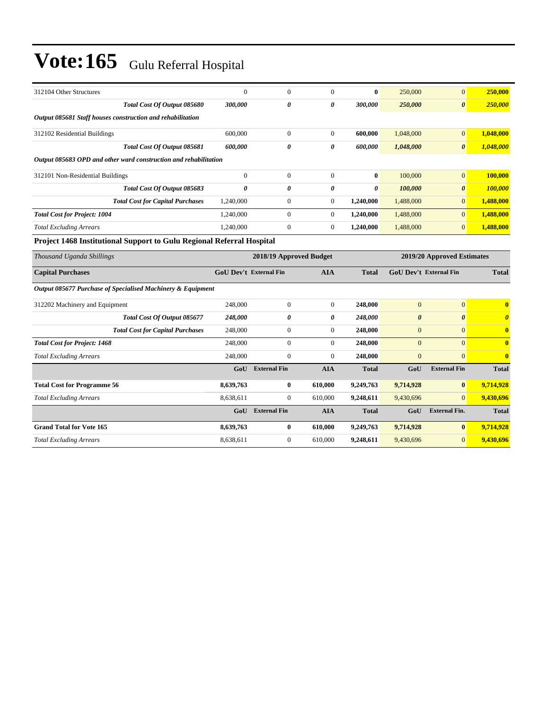| 312104 Other Structures                                               | $\theta$                      | $\Omega$                | $\Omega$              | $\mathbf{0}$          | 250,000                       | $\Omega$                   | 250,000                 |
|-----------------------------------------------------------------------|-------------------------------|-------------------------|-----------------------|-----------------------|-------------------------------|----------------------------|-------------------------|
| Total Cost Of Output 085680                                           | 300,000                       | 0                       | 0                     | 300,000               | 250,000                       | $\boldsymbol{\theta}$      | 250,000                 |
| Output 085681 Staff houses construction and rehabilitation            |                               |                         |                       |                       |                               |                            |                         |
| 312102 Residential Buildings                                          | 600,000                       | $\overline{0}$          | $\theta$              | 600,000               | 1,048,000                     | $\overline{0}$             | 1,048,000               |
| Total Cost Of Output 085681                                           | 600.000                       | 0                       | $\boldsymbol{\theta}$ | 600.000               | 1,048,000                     | $\boldsymbol{\theta}$      | 1,048,000               |
| Output 085683 OPD and other ward construction and rehabilitation      |                               |                         |                       |                       |                               |                            |                         |
| 312101 Non-Residential Buildings                                      | $\theta$                      | $\overline{0}$          | $\theta$              | $\bf{0}$              | 100,000                       | $\Omega$                   | 100,000                 |
| Total Cost Of Output 085683                                           | 0                             | 0                       | $\boldsymbol{\theta}$ | $\boldsymbol{\theta}$ | 100,000                       | $\boldsymbol{\theta}$      | 100,000                 |
| <b>Total Cost for Capital Purchases</b>                               | 1,240,000                     | $\Omega$                | $\theta$              | 1,240,000             | 1,488,000                     | $\Omega$                   | 1,488,000               |
| <b>Total Cost for Project: 1004</b>                                   | 1,240,000                     | $\Omega$                | $\theta$              | 1,240,000             | 1,488,000                     | $\Omega$                   | 1,488,000               |
| <b>Total Excluding Arrears</b>                                        | 1,240,000                     | $\Omega$                | $\theta$              | 1,240,000             | 1,488,000                     | $\Omega$                   | 1,488,000               |
| Project 1468 Institutional Support to Gulu Regional Referral Hospital |                               |                         |                       |                       |                               |                            |                         |
|                                                                       |                               |                         |                       |                       |                               |                            |                         |
| Thousand Uganda Shillings                                             |                               | 2018/19 Approved Budget |                       |                       |                               | 2019/20 Approved Estimates |                         |
| <b>Capital Purchases</b>                                              | <b>GoU Dev't External Fin</b> |                         | <b>AIA</b>            | <b>Total</b>          | <b>GoU Dev't External Fin</b> |                            | <b>Total</b>            |
| Output 085677 Purchase of Specialised Machinery & Equipment           |                               |                         |                       |                       |                               |                            |                         |
| 312202 Machinery and Equipment                                        | 248,000                       | $\overline{0}$          | $\theta$              | 248,000               | $\overline{0}$                | $\overline{0}$             | $\bf{0}$                |
| Total Cost Of Output 085677                                           | 248,000                       | 0                       | $\theta$              | 248,000               | $\boldsymbol{\theta}$         | $\theta$                   | $\boldsymbol{\theta}$   |
| <b>Total Cost for Capital Purchases</b>                               | 248,000                       | $\theta$                | $\Omega$              | 248,000               | $\Omega$                      | $\Omega$                   | $\mathbf{0}$            |
| <b>Total Cost for Project: 1468</b>                                   | 248,000                       | $\Omega$                | $\theta$              | 248,000               | $\Omega$                      | $\Omega$                   | $\mathbf{0}$            |
| <b>Total Excluding Arrears</b>                                        | 248,000                       | $\mathbf{0}$            | $\theta$              | 248,000               | $\overline{0}$                | $\mathbf{0}$               | $\overline{\mathbf{0}}$ |
|                                                                       | GoU                           | <b>External Fin</b>     | <b>AIA</b>            | <b>Total</b>          | GoU                           | <b>External Fin</b>        | <b>Total</b>            |
| <b>Total Cost for Programme 56</b>                                    | 8,639,763                     | $\bf{0}$                | 610,000               | 9,249,763             | 9,714,928                     | $\bf{0}$                   | 9,714,928               |
| <b>Total Excluding Arrears</b>                                        | 8,638,611                     | $\Omega$                | 610,000               | 9,248,611             | 9,430,696                     | $\Omega$                   | 9,430,696               |

**Grand Total for Vote 165 8,639,763 0 610,000 9,249,763 9,714,928 0 9,714,928** *Total Excluding Arrears* 8,638,611 0 610,000 **9,248,611** 9,430,696 0 **9,430,696**